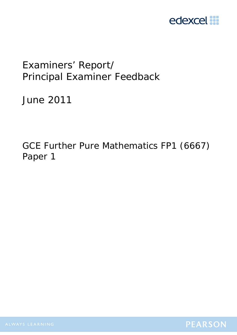

# Examiners' Report/ Principal Examiner Feedback

June 2011

GCE Further Pure Mathematics FP1 (6667) Paper 1

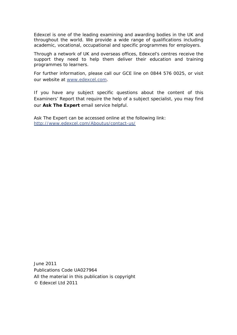Edexcel is one of the leading examining and awarding bodies in the UK and throughout the world. We provide a wide range of qualifications including academic, vocational, occupational and specific programmes for employers.

Through a network of UK and overseas offices, Edexcel's centres receive the support they need to help them deliver their education and training programmes to learners.

For further information, please call our GCE line on 0844 576 0025, or visit our website at www.edexcel.com.

If you have any subject specific questions about the content of this Examiners' Report that require the help of a subject specialist, you may find our **Ask The Expert** email service helpful.

Ask The Expert can be accessed online at the following link: http://www.edexcel.com/Aboutus/contact-us/

June 2011 Publications Code UA027964 All the material in this publication is copyright © Edexcel Ltd 2011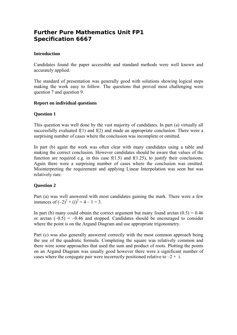# **Further Pure Mathematics Unit FP1 Specification 6667**

# **Introduction**

Candidates found the paper accessible and standard methods were well known and accurately applied.

The standard of presentation was generally good with solutions showing logical steps making the work easy to follow. The questions that proved most challenging were question 7 and question 9.

#### **Report on individual questions**

#### **Question 1**

This question was well done by the vast majority of candidates. In part (a) virtually all successfully evaluated f(1) and f(2) and made an appropriate conclusion. There were a surprising number of cases where the conclusion was incomplete or omitted.

In part (b) again the work was often clear with many candidates using a table and making the correct conclusion. However candidates should be aware that values of the function are required e.g. in this case  $f(1.5)$  and  $f(1.25)$ , to justify their conclusions. Again there were a surprising number of cases where the conclusion was omitted. Misinterpreting the requirement and applying Linear Interpolation was seen but was relatively rare.

# **Question 2**

Part (a) was well answered with most candidates gaining the mark. There were a few instances of  $(-2)^2 + (i)^2 = 4 - 1 = 3$ .

In part (b) many could obtain the correct argument but many found arctan  $(0.5) = 0.46$ or arctan  $(-0.5) = -0.46$  and stopped. Candidates should be encouraged to consider where the point is on the Argand Diagram and use appropriate trigonometry.

Part (c) was also generally answered correctly with the most common approach being the use of the quadratic formula. Completing the square was relatively common and there were some approaches that used the sum and product of roots. Plotting the points on an Argand Diagram was usually good however there were a significant number of cases where the conjugate pair were incorrectly positioned relative to  $-2 + i$ .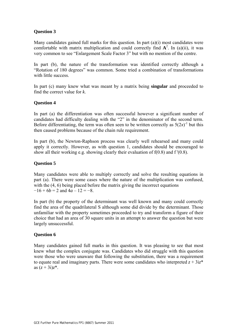# **Question 3**

Many candidates gained full marks for this question. In part (a)(i) most candidates were comfortable with matrix multiplication and could correctly find  $A^2$ . In (a)(ii), it was very common to see "Enlargement Scale Factor 3" but with no mention of the centre.

In part (b), the nature of the transformation was identified correctly although a "Rotation of 180 degrees" was common. Some tried a combination of transformations with little success.

In part (c) many knew what was meant by a matrix being **singular** and proceeded to find the correct value for *k*.

#### **Question 4**

In part (a) the differentiation was often successful however a significant number of candidates had difficulty dealing with the "2" in the denominator of the second term. Before differentiating, the term was often seen to be written correctly as  $5(2x)^{-1}$  but this then caused problems because of the chain rule requirement.

In part (b), the Newton-Raphson process was clearly well rehearsed and many could apply it correctly. However, as with question 1, candidates should be encouraged to show all their working e.g. showing clearly their evaluation of f(0.8) and f '(0.8).

#### **Question 5**

Many candidates were able to multiply correctly and solve the resulting equations in part (a). There were some cases where the nature of the multiplication was confused, with the  $(4, 6)$  being placed before the matrix giving the incorrect equations  $-16 + 6b = 2$  and  $4a - 12 = -8$ .

In part (b) the property of the determinant was well known and many could correctly find the area of the quadrilateral S although some did divide by the determinant. Those unfamiliar with the property sometimes proceeded to try and transform a figure of their choice that had an area of 30 square units in an attempt to answer the question but were largely unsuccessful.

# **Question 6**

Many candidates gained full marks in this question. It was pleasing to see that most knew what the complex conjugate was. Candidates who did struggle with this question were those who were unaware that following the substitution, there was a requirement to equate real and imaginary parts. There were some candidates who interpreted  $z + 3iz^*$ as  $(z + 3i)z^*$ .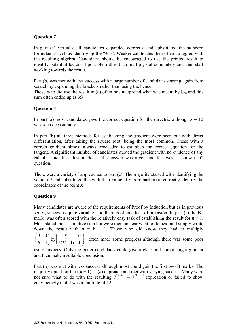#### **Question 7**

In part (a) virtually all candidates expanded correctly and substituted the standard formulae as well as identifying the "+ $n$ ". Weaker candidates then often struggled with the resulting algebra. Candidates should be encouraged to use the printed result to identify potential factors if possible, rather than multiply out completely and then start working towards the result.

Part (b) was met with less success with a large number of candidates starting again from scratch by expanding the brackets rather than using the hence.

Those who did use the result in (a) often misinterpreted what was meant by  $S_{3n}$  and this sum often ended up as 3S*n*.

#### **Question 8**

In part (a) most candidates gave the correct equation for the directrix although  $x = 12$ was seen occasionally.

In part (b) all three methods for establishing the gradient were seen but with direct differentiation, after taking the square root, being the most common. Those with a correct gradient almost always proceeded to establish the correct equation for the tangent. A significant number of candidates quoted the gradient with no evidence of any calculus and these lost marks as the answer was given and this was a "show that" question.

There were a variety of approaches to part (c). The majority started with identifying the value of  $t$  and substituted this with their value of  $x$  from part (a) to correctly identify the coordinates of the point *X*.

#### **Question 9**

Many candidates are aware of the requirements of Proof by Induction but as in previous series, success is quite variable, and there is often a lack of precision. In part (a) the B1 mark was often scored with the relatively easy task of establishing the result for  $n = 1$ . Most stated the assumptive step but were then unclear what to do next and simply wrote down the result with  $n = k + 1$ . Those who did know they had to multiply  $\begin{pmatrix} 3 & 0 \\ 6 & 1 \end{pmatrix}$  by  $\begin{pmatrix} 3^k & 0 \\ 3(3^k-1) & 1 \end{pmatrix}$ 

*k*  $\begin{pmatrix} 3 & 0 \\ 6 & 1 \end{pmatrix}$  by  $\begin{pmatrix} 3^k & 0 \\ 3(3^k-1) & 1 \end{pmatrix}$  often made some progress although there was some poor

use of indices. Only the better candidates could give a clear and convincing argument and then make a suitable conclusion.

Part (b) was met with less success although most could gain the first two B marks. The majority opted for the  $f(k + 1) - f(k)$  approach and met with varying success. Many were not sure what to do with the resulting  $7^{2k+1} - 7^{2k-1}$  expression or failed to show convincingly that it was a multiple of 12.